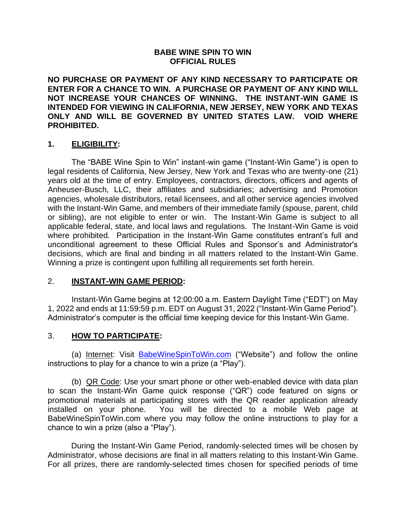#### **BABE WINE SPIN TO WIN OFFICIAL RULES**

**NO PURCHASE OR PAYMENT OF ANY KIND NECESSARY TO PARTICIPATE OR ENTER FOR A CHANCE TO WIN. A PURCHASE OR PAYMENT OF ANY KIND WILL NOT INCREASE YOUR CHANCES OF WINNING. THE INSTANT-WIN GAME IS INTENDED FOR VIEWING IN CALIFORNIA, NEW JERSEY, NEW YORK AND TEXAS ONLY AND WILL BE GOVERNED BY UNITED STATES LAW. VOID WHERE PROHIBITED.**

#### **1. ELIGIBILITY:**

The "BABE Wine Spin to Win" instant-win game ("Instant-Win Game") is open to legal residents of California, New Jersey, New York and Texas who are twenty-one (21) years old at the time of entry. Employees, contractors, directors, officers and agents of Anheuser-Busch, LLC, their affiliates and subsidiaries; advertising and Promotion agencies, wholesale distributors, retail licensees, and all other service agencies involved with the Instant-Win Game, and members of their immediate family (spouse, parent, child or sibling), are not eligible to enter or win. The Instant-Win Game is subject to all applicable federal, state, and local laws and regulations. The Instant-Win Game is void where prohibited. Participation in the Instant-Win Game constitutes entrant's full and unconditional agreement to these Official Rules and Sponsor's and Administrator's decisions, which are final and binding in all matters related to the Instant-Win Game. Winning a prize is contingent upon fulfilling all requirements set forth herein.

#### 2. **INSTANT-WIN GAME PERIOD:**

Instant-Win Game begins at 12:00:00 a.m. Eastern Daylight Time ("EDT") on May 1, 2022 and ends at 11:59:59 p.m. EDT on August 31, 2022 ("Instant-Win Game Period"). Administrator's computer is the official time keeping device for this Instant-Win Game.

#### 3. **HOW TO PARTICIPATE:**

(a) Internet: Visit [BabeWineSpinToWin.com](http://babewinespintowin.com/) ("Website") and follow the online instructions to play for a chance to win a prize (a "Play").

(b) QR Code: Use your smart phone or other web-enabled device with data plan to scan the Instant-Win Game quick response ("QR") code featured on signs or promotional materials at participating stores with the QR reader application already installed on your phone. You will be directed to a mobile Web page at BabeWineSpinToWin.com where you may follow the online instructions to play for a chance to win a prize (also a "Play").

During the Instant-Win Game Period, randomly-selected times will be chosen by Administrator, whose decisions are final in all matters relating to this Instant-Win Game. For all prizes, there are randomly-selected times chosen for specified periods of time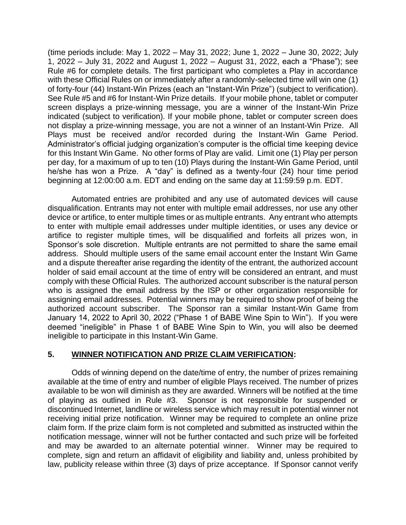(time periods include: May 1, 2022 – May 31, 2022; June 1, 2022 – June 30, 2022; July 1, 2022 – July 31, 2022 and August 1, 2022 – August 31, 2022, each a "Phase"); see Rule #6 for complete details. The first participant who completes a Play in accordance with these Official Rules on or immediately after a randomly-selected time will win one (1) of forty-four (44) Instant-Win Prizes (each an "Instant-Win Prize") (subject to verification). See Rule #5 and #6 for Instant-Win Prize details. If your mobile phone, tablet or computer screen displays a prize-winning message, you are a winner of the Instant-Win Prize indicated (subject to verification). If your mobile phone, tablet or computer screen does not display a prize-winning message, you are not a winner of an Instant-Win Prize. All Plays must be received and/or recorded during the Instant-Win Game Period. Administrator's official judging organization's computer is the official time keeping device for this Instant Win Game. No other forms of Play are valid. Limit one (1) Play per person per day, for a maximum of up to ten (10) Plays during the Instant-Win Game Period, until he/she has won a Prize. A "day" is defined as a twenty-four (24) hour time period beginning at 12:00:00 a.m. EDT and ending on the same day at 11:59:59 p.m. EDT.

Automated entries are prohibited and any use of automated devices will cause disqualification. Entrants may not enter with multiple email addresses, nor use any other device or artifice, to enter multiple times or as multiple entrants. Any entrant who attempts to enter with multiple email addresses under multiple identities, or uses any device or artifice to register multiple times, will be disqualified and forfeits all prizes won, in Sponsor's sole discretion. Multiple entrants are not permitted to share the same email address. Should multiple users of the same email account enter the Instant Win Game and a dispute thereafter arise regarding the identity of the entrant, the authorized account holder of said email account at the time of entry will be considered an entrant, and must comply with these Official Rules. The authorized account subscriber is the natural person who is assigned the email address by the ISP or other organization responsible for assigning email addresses. Potential winners may be required to show proof of being the authorized account subscriber. The Sponsor ran a similar Instant-Win Game from January 14, 2022 to April 30, 2022 ("Phase 1 of BABE Wine Spin to Win"). If you were deemed "ineligible" in Phase 1 of BABE Wine Spin to Win, you will also be deemed ineligible to participate in this Instant-Win Game.

#### **5. WINNER NOTIFICATION AND PRIZE CLAIM VERIFICATION:**

Odds of winning depend on the date/time of entry, the number of prizes remaining available at the time of entry and number of eligible Plays received. The number of prizes available to be won will diminish as they are awarded. Winners will be notified at the time of playing as outlined in Rule #3. Sponsor is not responsible for suspended or discontinued Internet, landline or wireless service which may result in potential winner not receiving initial prize notification. Winner may be required to complete an online prize claim form. If the prize claim form is not completed and submitted as instructed within the notification message, winner will not be further contacted and such prize will be forfeited and may be awarded to an alternate potential winner. Winner may be required to complete, sign and return an affidavit of eligibility and liability and, unless prohibited by law, publicity release within three (3) days of prize acceptance. If Sponsor cannot verify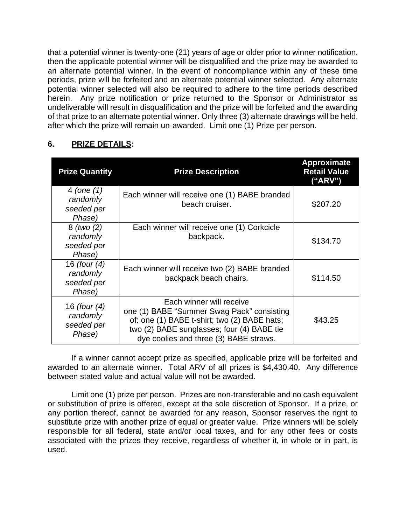that a potential winner is twenty-one (21) years of age or older prior to winner notification, then the applicable potential winner will be disqualified and the prize may be awarded to an alternate potential winner. In the event of noncompliance within any of these time periods, prize will be forfeited and an alternate potential winner selected. Any alternate potential winner selected will also be required to adhere to the time periods described herein. Any prize notification or prize returned to the Sponsor or Administrator as undeliverable will result in disqualification and the prize will be forfeited and the awarding of that prize to an alternate potential winner. Only three (3) alternate drawings will be held, after which the prize will remain un-awarded. Limit one (1) Prize per person.

# **6. PRIZE DETAILS:**

| <b>Prize Quantity</b>                                | <b>Prize Description</b>                                                                                                                                                                                       | <b>Approximate</b><br><b>Retail Value</b><br>("ARV") |
|------------------------------------------------------|----------------------------------------------------------------------------------------------------------------------------------------------------------------------------------------------------------------|------------------------------------------------------|
| 4 (one $(1)$<br>randomly<br>seeded per<br>Phase)     | Each winner will receive one (1) BABE branded<br>beach cruiser.                                                                                                                                                | \$207.20                                             |
| $8$ (two $(2)$ )<br>randomly<br>seeded per<br>Phase) | Each winner will receive one (1) Corkcicle<br>backpack.                                                                                                                                                        | \$134.70                                             |
| 16 (four (4)<br>randomly<br>seeded per<br>Phase)     | Each winner will receive two (2) BABE branded<br>backpack beach chairs.                                                                                                                                        | \$114.50                                             |
| 16 (four (4)<br>randomly<br>seeded per<br>Phase)     | Each winner will receive<br>one (1) BABE "Summer Swag Pack" consisting<br>of: one (1) BABE t-shirt; two (2) BABE hats;<br>two (2) BABE sunglasses; four (4) BABE tie<br>dye coolies and three (3) BABE straws. | \$43.25                                              |

If a winner cannot accept prize as specified, applicable prize will be forfeited and awarded to an alternate winner. Total ARV of all prizes is \$4,430.40. Any difference between stated value and actual value will not be awarded.

Limit one (1) prize per person. Prizes are non-transferable and no cash equivalent or substitution of prize is offered, except at the sole discretion of Sponsor. If a prize, or any portion thereof, cannot be awarded for any reason, Sponsor reserves the right to substitute prize with another prize of equal or greater value. Prize winners will be solely responsible for all federal, state and/or local taxes, and for any other fees or costs associated with the prizes they receive, regardless of whether it, in whole or in part, is used.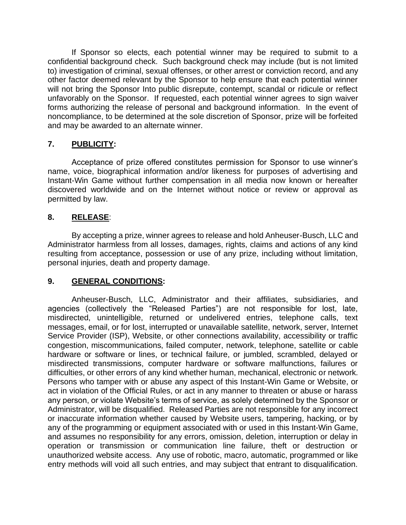If Sponsor so elects, each potential winner may be required to submit to a confidential background check. Such background check may include (but is not limited to) investigation of criminal, sexual offenses, or other arrest or conviction record, and any other factor deemed relevant by the Sponsor to help ensure that each potential winner will not bring the Sponsor Into public disrepute, contempt, scandal or ridicule or reflect unfavorably on the Sponsor. If requested, each potential winner agrees to sign waiver forms authorizing the release of personal and background information. In the event of noncompliance, to be determined at the sole discretion of Sponsor, prize will be forfeited and may be awarded to an alternate winner.

# **7. PUBLICITY:**

Acceptance of prize offered constitutes permission for Sponsor to use winner's name, voice, biographical information and/or likeness for purposes of advertising and Instant-Win Game without further compensation in all media now known or hereafter discovered worldwide and on the Internet without notice or review or approval as permitted by law.

## **8. RELEASE**:

By accepting a prize, winner agrees to release and hold Anheuser-Busch, LLC and Administrator harmless from all losses, damages, rights, claims and actions of any kind resulting from acceptance, possession or use of any prize, including without limitation, personal injuries, death and property damage.

#### **9. GENERAL CONDITIONS:**

Anheuser-Busch, LLC, Administrator and their affiliates, subsidiaries, and agencies (collectively the "Released Parties") are not responsible for lost, late, misdirected, unintelligible, returned or undelivered entries, telephone calls, text messages, email, or for lost, interrupted or unavailable satellite, network, server, Internet Service Provider (ISP), Website, or other connections availability, accessibility or traffic congestion, miscommunications, failed computer, network, telephone, satellite or cable hardware or software or lines, or technical failure, or jumbled, scrambled, delayed or misdirected transmissions, computer hardware or software malfunctions, failures or difficulties, or other errors of any kind whether human, mechanical, electronic or network. Persons who tamper with or abuse any aspect of this Instant-Win Game or Website, or act in violation of the Official Rules, or act in any manner to threaten or abuse or harass any person, or violate Website's terms of service, as solely determined by the Sponsor or Administrator, will be disqualified. Released Parties are not responsible for any incorrect or inaccurate information whether caused by Website users, tampering, hacking, or by any of the programming or equipment associated with or used in this Instant-Win Game, and assumes no responsibility for any errors, omission, deletion, interruption or delay in operation or transmission or communication line failure, theft or destruction or unauthorized website access. Any use of robotic, macro, automatic, programmed or like entry methods will void all such entries, and may subject that entrant to disqualification.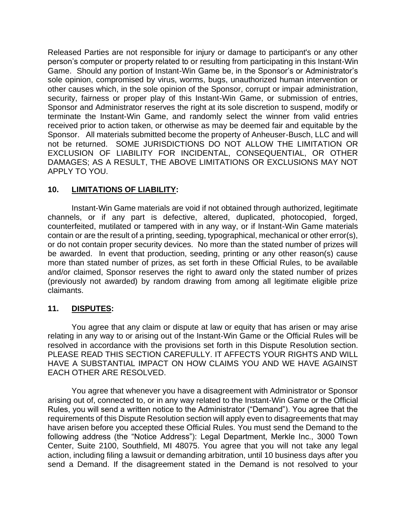Released Parties are not responsible for injury or damage to participant's or any other person's computer or property related to or resulting from participating in this Instant-Win Game. Should any portion of Instant-Win Game be, in the Sponsor's or Administrator's sole opinion, compromised by virus, worms, bugs, unauthorized human intervention or other causes which, in the sole opinion of the Sponsor, corrupt or impair administration, security, fairness or proper play of this Instant-Win Game, or submission of entries, Sponsor and Administrator reserves the right at its sole discretion to suspend, modify or terminate the Instant-Win Game, and randomly select the winner from valid entries received prior to action taken, or otherwise as may be deemed fair and equitable by the Sponsor. All materials submitted become the property of Anheuser-Busch, LLC and will not be returned. SOME JURISDICTIONS DO NOT ALLOW THE LIMITATION OR EXCLUSION OF LIABILITY FOR INCIDENTAL, CONSEQUENTIAL, OR OTHER DAMAGES; AS A RESULT, THE ABOVE LIMITATIONS OR EXCLUSIONS MAY NOT APPLY TO YOU.

## **10. LIMITATIONS OF LIABILITY:**

Instant-Win Game materials are void if not obtained through authorized, legitimate channels, or if any part is defective, altered, duplicated, photocopied, forged, counterfeited, mutilated or tampered with in any way, or if Instant-Win Game materials contain or are the result of a printing, seeding, typographical, mechanical or other error(s), or do not contain proper security devices. No more than the stated number of prizes will be awarded. In event that production, seeding, printing or any other reason(s) cause more than stated number of prizes, as set forth in these Official Rules, to be available and/or claimed, Sponsor reserves the right to award only the stated number of prizes (previously not awarded) by random drawing from among all legitimate eligible prize claimants.

#### **11. DISPUTES:**

You agree that any claim or dispute at law or equity that has arisen or may arise relating in any way to or arising out of the Instant-Win Game or the Official Rules will be resolved in accordance with the provisions set forth in this Dispute Resolution section. PLEASE READ THIS SECTION CAREFULLY. IT AFFECTS YOUR RIGHTS AND WILL HAVE A SUBSTANTIAL IMPACT ON HOW CLAIMS YOU AND WE HAVE AGAINST EACH OTHER ARE RESOLVED.

You agree that whenever you have a disagreement with Administrator or Sponsor arising out of, connected to, or in any way related to the Instant-Win Game or the Official Rules, you will send a written notice to the Administrator ("Demand"). You agree that the requirements of this Dispute Resolution section will apply even to disagreements that may have arisen before you accepted these Official Rules. You must send the Demand to the following address (the "Notice Address"): Legal Department, Merkle Inc., 3000 Town Center, Suite 2100, Southfield, MI 48075. You agree that you will not take any legal action, including filing a lawsuit or demanding arbitration, until 10 business days after you send a Demand. If the disagreement stated in the Demand is not resolved to your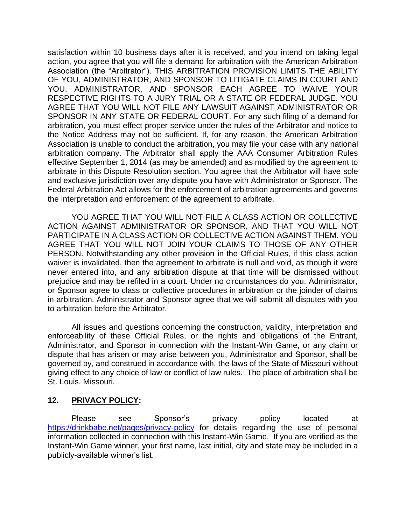satisfaction within 10 business days after it is received, and you intend on taking legal action, you agree that you will file a demand for arbitration with the American Arbitration Association (the "Arbitrator"). THIS ARBITRATION PROVISION LIMITS THE ABILITY OF YOU, ADMINISTRATOR, AND SPONSOR TO LITIGATE CLAIMS IN COURT AND YOU, ADMINISTRATOR, AND SPONSOR EACH AGREE TO WAIVE YOUR RESPECTIVE RIGHTS TO A JURY TRIAL OR A STATE OR FEDERAL JUDGE. YOU AGREE THAT YOU WILL NOT FILE ANY LAWSUIT AGAINST ADMINISTRATOR OR SPONSOR IN ANY STATE OR FEDERAL COURT. For any such filing of a demand for arbitration, you must effect proper service under the rules of the Arbitrator and notice to the Notice Address may not be sufficient. If, for any reason, the American Arbitration Association is unable to conduct the arbitration, you may file your case with any national arbitration company. The Arbitrator shall apply the AAA Consumer Arbitration Rules effective September 1, 2014 (as may be amended) and as modified by the agreement to arbitrate in this Dispute Resolution section. You agree that the Arbitrator will have sole and exclusive jurisdiction over any dispute you have with Administrator or Sponsor. The Federal Arbitration Act allows for the enforcement of arbitration agreements and governs the interpretation and enforcement of the agreement to arbitrate.

YOU AGREE THAT YOU WILL NOT FILE A CLASS ACTION OR COLLECTIVE ACTION AGAINST ADMINISTRATOR OR SPONSOR, AND THAT YOU WILL NOT PARTICIPATE IN A CLASS ACTION OR COLLECTIVE ACTION AGAINST THEM. YOU AGREE THAT YOU WILL NOT JOIN YOUR CLAIMS TO THOSE OF ANY OTHER PERSON. Notwithstanding any other provision in the Official Rules, if this class action waiver is invalidated, then the agreement to arbitrate is null and void, as though it were never entered into, and any arbitration dispute at that time will be dismissed without prejudice and may be refiled in a court. Under no circumstances do you, Administrator, or Sponsor agree to class or collective procedures in arbitration or the joinder of claims in arbitration. Administrator and Sponsor agree that we will submit all disputes with you to arbitration before the Arbitrator.

All issues and questions concerning the construction, validity, interpretation and enforceability of these Official Rules, or the rights and obligations of the Entrant, Administrator, and Sponsor in connection with the Instant-Win Game, or any claim or dispute that has arisen or may arise between you, Administrator and Sponsor, shall be governed by, and construed in accordance with, the laws of the State of Missouri without giving effect to any choice of law or conflict of law rules. The place of arbitration shall be St. Louis, Missouri.

#### **12. PRIVACY POLICY:**

Please see Sponsor's privacy policy located at <https://drinkbabe.net/pages/privacy-policy> for details regarding the use of personal information collected in connection with this Instant-Win Game. If you are verified as the Instant-Win Game winner, your first name, last initial, city and state may be included in a publicly-available winner's list.